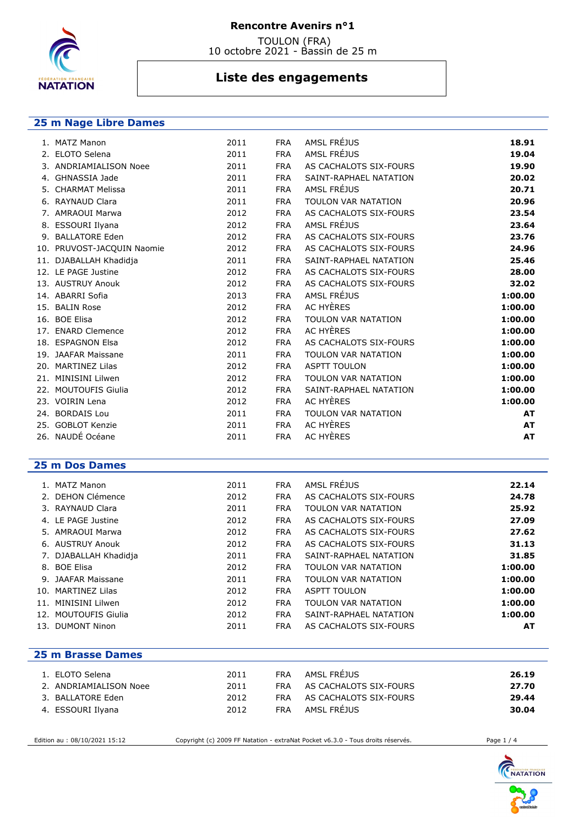

### **Rencontre Avenirs n°1**

 TOULON (FRA) 10 octobre 2021 - Bassin de 25 m

# **Liste des engagements**

### **25 m Nage Libre Dames**

| 2011                                                                                                                                                                                                                                                                                                                                                                                                                                                                                                                                                                    | <b>FRA</b> | AMSL FRÉJUS                | 18.91                      |
|-------------------------------------------------------------------------------------------------------------------------------------------------------------------------------------------------------------------------------------------------------------------------------------------------------------------------------------------------------------------------------------------------------------------------------------------------------------------------------------------------------------------------------------------------------------------------|------------|----------------------------|----------------------------|
| 2011                                                                                                                                                                                                                                                                                                                                                                                                                                                                                                                                                                    | <b>FRA</b> | AMSL FRÉJUS                | 19.04                      |
| 2011                                                                                                                                                                                                                                                                                                                                                                                                                                                                                                                                                                    | <b>FRA</b> | AS CACHALOTS SIX-FOURS     | 19.90                      |
| 2011                                                                                                                                                                                                                                                                                                                                                                                                                                                                                                                                                                    | <b>FRA</b> | SAINT-RAPHAEL NATATION     | 20.02                      |
| 2011                                                                                                                                                                                                                                                                                                                                                                                                                                                                                                                                                                    | <b>FRA</b> |                            | 20.71                      |
| 2011                                                                                                                                                                                                                                                                                                                                                                                                                                                                                                                                                                    | <b>FRA</b> | TOULON VAR NATATION        | 20.96                      |
| 2012                                                                                                                                                                                                                                                                                                                                                                                                                                                                                                                                                                    | <b>FRA</b> | AS CACHALOTS SIX-FOURS     | 23.54                      |
| 2012                                                                                                                                                                                                                                                                                                                                                                                                                                                                                                                                                                    | <b>FRA</b> |                            | 23.64                      |
| 2012                                                                                                                                                                                                                                                                                                                                                                                                                                                                                                                                                                    | <b>FRA</b> | AS CACHALOTS SIX-FOURS     | 23.76                      |
| 2012                                                                                                                                                                                                                                                                                                                                                                                                                                                                                                                                                                    | <b>FRA</b> | AS CACHALOTS SIX-FOURS     | 24.96                      |
| 2011                                                                                                                                                                                                                                                                                                                                                                                                                                                                                                                                                                    | <b>FRA</b> | SAINT-RAPHAEL NATATION     | 25.46                      |
| 2012                                                                                                                                                                                                                                                                                                                                                                                                                                                                                                                                                                    | <b>FRA</b> | AS CACHALOTS SIX-FOURS     | 28.00                      |
| 2012                                                                                                                                                                                                                                                                                                                                                                                                                                                                                                                                                                    | <b>FRA</b> | AS CACHALOTS SIX-FOURS     | 32.02                      |
| 2013                                                                                                                                                                                                                                                                                                                                                                                                                                                                                                                                                                    | <b>FRA</b> | AMSL FRÉJUS                | 1:00.00                    |
| 2012                                                                                                                                                                                                                                                                                                                                                                                                                                                                                                                                                                    | <b>FRA</b> | AC HYÈRES                  | 1:00.00                    |
| 2012                                                                                                                                                                                                                                                                                                                                                                                                                                                                                                                                                                    | <b>FRA</b> | <b>TOULON VAR NATATION</b> | 1:00.00                    |
| 2012                                                                                                                                                                                                                                                                                                                                                                                                                                                                                                                                                                    | <b>FRA</b> | AC HYÈRES                  | 1:00.00                    |
| 2012                                                                                                                                                                                                                                                                                                                                                                                                                                                                                                                                                                    | <b>FRA</b> | AS CACHALOTS SIX-FOURS     | 1:00.00                    |
| 2011                                                                                                                                                                                                                                                                                                                                                                                                                                                                                                                                                                    | <b>FRA</b> | <b>TOULON VAR NATATION</b> | 1:00.00                    |
| 2012                                                                                                                                                                                                                                                                                                                                                                                                                                                                                                                                                                    | <b>FRA</b> | <b>ASPTT TOULON</b>        | 1:00.00                    |
| 2012                                                                                                                                                                                                                                                                                                                                                                                                                                                                                                                                                                    | <b>FRA</b> | <b>TOULON VAR NATATION</b> | 1:00.00                    |
| 2012                                                                                                                                                                                                                                                                                                                                                                                                                                                                                                                                                                    | <b>FRA</b> | SAINT-RAPHAEL NATATION     | 1:00.00                    |
| 2012                                                                                                                                                                                                                                                                                                                                                                                                                                                                                                                                                                    | <b>FRA</b> | AC HYÈRES                  | 1:00.00                    |
| 2011                                                                                                                                                                                                                                                                                                                                                                                                                                                                                                                                                                    | <b>FRA</b> | <b>TOULON VAR NATATION</b> | <b>AT</b>                  |
| 2011                                                                                                                                                                                                                                                                                                                                                                                                                                                                                                                                                                    | <b>FRA</b> | AC HYÈRES                  | <b>AT</b>                  |
| 2011                                                                                                                                                                                                                                                                                                                                                                                                                                                                                                                                                                    | <b>FRA</b> | AC HYÈRES                  | <b>AT</b>                  |
| 1. MATZ Manon<br>2. ELOTO Selena<br>3. ANDRIAMIALISON Noee<br>4. GHNASSIA Jade<br>5. CHARMAT Melissa<br>6. RAYNAUD Clara<br>7. AMRAOUI Marwa<br>8. ESSOURI Ilyana<br>9. BALLATORE Eden<br>10. PRUVOST-JACQUIN Naomie<br>11. DJABALLAH Khadidja<br>12. LE PAGE Justine<br>13. AUSTRUY Anouk<br>14. ABARRI Sofia<br>15. BALIN Rose<br>16. BOE Elisa<br>17. ENARD Clemence<br>18. ESPAGNON Elsa<br>19. JAAFAR Maissane<br>20. MARTINEZ Lilas<br>21. MINISINI Lilwen<br>22. MOUTOUFIS Giulia<br>23. VOIRIN Lena<br>24. BORDAIS Lou<br>25. GOBLOT Kenzie<br>26. NAUDÉ Océane |            |                            | AMSL FRÉJUS<br>AMSL FRÉJUS |

#### **25 m Dos Dames**

| 1. MATZ Manon         | 2011 | <b>FRA</b> | AMSL FRÉJUS            | 22.14   |
|-----------------------|------|------------|------------------------|---------|
| 2. DEHON Clémence     | 2012 | <b>FRA</b> | AS CACHALOTS SIX-FOURS | 24.78   |
| 3. RAYNAUD Clara      | 2011 | <b>FRA</b> | TOULON VAR NATATION    | 25.92   |
| 4. LE PAGE Justine    | 2012 | <b>FRA</b> | AS CACHALOTS SIX-FOURS | 27.09   |
| 5. AMRAOUI Marwa      | 2012 | <b>FRA</b> | AS CACHALOTS SIX-FOURS | 27.62   |
| 6. AUSTRUY Anouk      | 2012 | <b>FRA</b> | AS CACHALOTS SIX-FOURS | 31.13   |
| 7. DJABALLAH Khadidja | 2011 | <b>FRA</b> | SAINT-RAPHAEL NATATION | 31.85   |
| 8. BOE Elisa          | 2012 | <b>FRA</b> | TOULON VAR NATATION    | 1:00.00 |
| 9. JAAFAR Maissane    | 2011 | <b>FRA</b> | TOULON VAR NATATION    | 1:00.00 |
| 10. MARTINEZ Lilas    | 2012 | <b>FRA</b> | <b>ASPTT TOULON</b>    | 1:00.00 |
| 11. MINISINI Lilwen   | 2012 | <b>FRA</b> | TOULON VAR NATATION    | 1:00.00 |
| 12. MOUTOUFIS Giulia  | 2012 | <b>FRA</b> | SAINT-RAPHAEL NATATION | 1:00.00 |
| 13. DUMONT Ninon      | 2011 | <b>FRA</b> | AS CACHALOTS SIX-FOURS | AT      |

### **25 m Brasse Dames**

| 1. ELOTO Selena        | 2011 | <b>FRA</b> | AMSL FREJUS            | 26.19 |
|------------------------|------|------------|------------------------|-------|
| 2. ANDRIAMIALISON Noee | 2011 | FRA        | AS CACHALOTS SIX-FOURS | 27.70 |
| 3. BALLATORE Eden      | 2012 | FRA        | AS CACHALOTS SIX-FOURS | 29.44 |
| 4. ESSOURI Ilyana      | 2012 | <b>FRA</b> | AMSL FREJUS            | 30.04 |

Edition au : 08/10/2021 15:12 Copyright (c) 2009 FF Natation - extraNat Pocket v6.3.0 - Tous droits réservés. Page 1 / 4

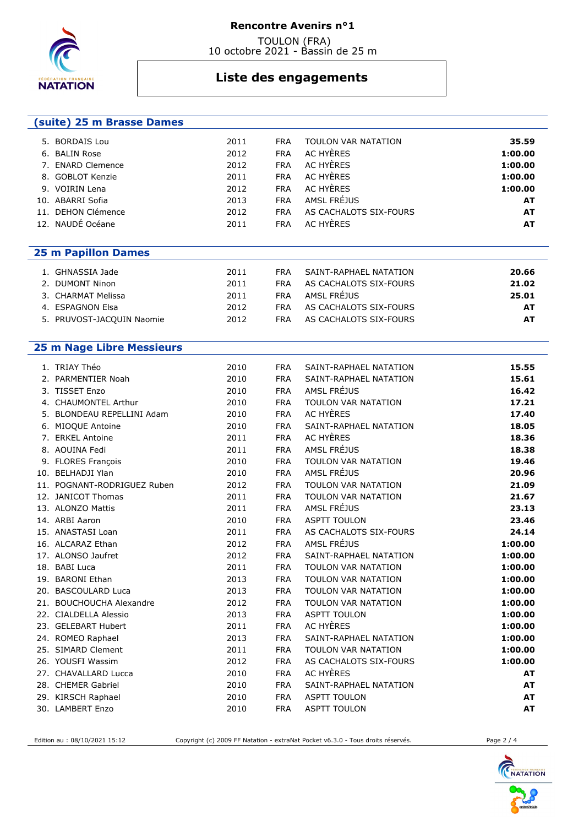

 **(suite) 25 m Brasse Dames** 

### **Rencontre Avenirs n°1**

 TOULON (FRA) 10 octobre 2021 - Bassin de 25 m

# **Liste des engagements**

| 5. BORDAIS Lou                   | 2011 | <b>FRA</b> | TOULON VAR NATATION    | 35.59     |
|----------------------------------|------|------------|------------------------|-----------|
| 6. BALIN Rose                    | 2012 | <b>FRA</b> | AC HYÈRES              | 1:00.00   |
| 7. ENARD Clemence                | 2012 | <b>FRA</b> | AC HYÈRES              | 1:00.00   |
| 8. GOBLOT Kenzie                 | 2011 | <b>FRA</b> | AC HYÈRES              | 1:00.00   |
| 9. VOIRIN Lena                   | 2012 | <b>FRA</b> | AC HYÈRES              | 1:00.00   |
| 10. ABARRI Sofia                 | 2013 | <b>FRA</b> | AMSL FRÉJUS            | AT        |
| 11. DEHON Clémence               | 2012 | <b>FRA</b> | AS CACHALOTS SIX-FOURS | AT        |
| 12. NAUDÉ Océane                 | 2011 | <b>FRA</b> | AC HYÈRES              | <b>AT</b> |
|                                  |      |            |                        |           |
| <b>25 m Papillon Dames</b>       |      |            |                        |           |
| 1. GHNASSIA Jade                 | 2011 | <b>FRA</b> | SAINT-RAPHAEL NATATION | 20.66     |
| 2. DUMONT Ninon                  | 2011 | <b>FRA</b> | AS CACHALOTS SIX-FOURS | 21.02     |
| 3. CHARMAT Melissa               | 2011 | <b>FRA</b> | AMSL FRÉJUS            | 25.01     |
| 4. ESPAGNON Elsa                 | 2012 | <b>FRA</b> | AS CACHALOTS SIX-FOURS | AT        |
| 5. PRUVOST-JACQUIN Naomie        | 2012 | <b>FRA</b> | AS CACHALOTS SIX-FOURS | <b>AT</b> |
|                                  |      |            |                        |           |
| <b>25 m Nage Libre Messieurs</b> |      |            |                        |           |
| 1. TRIAY Théo                    | 2010 | <b>FRA</b> | SAINT-RAPHAEL NATATION | 15.55     |
| 2. PARMENTIER Noah               | 2010 | <b>FRA</b> | SAINT-RAPHAEL NATATION | 15.61     |
| 3. TISSET Enzo                   | 2010 | <b>FRA</b> | AMSL FRÉJUS            | 16.42     |
| 4. CHAUMONTEL Arthur             | 2010 | <b>FRA</b> | TOULON VAR NATATION    | 17.21     |
| 5. BLONDEAU REPELLINI Adam       | 2010 | <b>FRA</b> | AC HYÈRES              | 17.40     |
| 6. MIOQUE Antoine                | 2010 | <b>FRA</b> | SAINT-RAPHAEL NATATION | 18.05     |
| 7. ERKEL Antoine                 | 2011 | <b>FRA</b> | AC HYÈRES              | 18.36     |
| 8. AOUINA Fedi                   | 2011 | <b>FRA</b> | AMSL FRÉJUS            | 18.38     |
| 9. FLORES François               | 2010 | <b>FRA</b> | TOULON VAR NATATION    | 19.46     |
| 10. BELHADJI Ylan                | 2010 | <b>FRA</b> | AMSL FRÉJUS            | 20.96     |
| 11. POGNANT-RODRIGUEZ Ruben      | 2012 | <b>FRA</b> | TOULON VAR NATATION    | 21.09     |
| 12. JANICOT Thomas               | 2011 | <b>FRA</b> | TOULON VAR NATATION    | 21.67     |
| 13. ALONZO Mattis                | 2011 | <b>FRA</b> | AMSL FRÉJUS            | 23.13     |
| 14. ARBI Aaron                   | 2010 | <b>FRA</b> | <b>ASPTT TOULON</b>    | 23.46     |
| 15. ANASTASI Loan                | 2011 | <b>FRA</b> | AS CACHALOTS SIX-FOURS | 24.14     |
| 16. ALCARAZ Ethan                | 2012 | <b>FRA</b> | AMSL FRÉJUS            | 1:00.00   |
| 17. ALONSO Jaufret               | 2012 | <b>FRA</b> | SAINT-RAPHAEL NATATION | 1:00.00   |
| 18. BABI Luca                    | 2011 | <b>FRA</b> | TOULON VAR NATATION    | 1:00.00   |
| 19. BARONI Ethan                 | 2013 | <b>FRA</b> | TOULON VAR NATATION    | 1:00.00   |
| 20. BASCOULARD Luca              | 2013 | <b>FRA</b> | TOULON VAR NATATION    | 1:00.00   |
| 21. BOUCHOUCHA Alexandre         | 2012 | <b>FRA</b> | TOULON VAR NATATION    | 1:00.00   |
| 22. CIALDELLA Alessio            | 2013 | <b>FRA</b> | <b>ASPTT TOULON</b>    | 1:00.00   |
| 23. GELEBART Hubert              | 2011 | <b>FRA</b> | AC HYÈRES              | 1:00.00   |
| 24. ROMEO Raphael                | 2013 | <b>FRA</b> | SAINT-RAPHAEL NATATION | 1:00.00   |
| 25. SIMARD Clement               | 2011 | <b>FRA</b> | TOULON VAR NATATION    | 1:00.00   |
| 26. YOUSFI Wassim                | 2012 | <b>FRA</b> | AS CACHALOTS SIX-FOURS | 1:00.00   |
| 27. CHAVALLARD Lucca             | 2010 | <b>FRA</b> | AC HYÈRES              | AT        |
| 28. CHEMER Gabriel               | 2010 | <b>FRA</b> | SAINT-RAPHAEL NATATION | AT        |
| 29. KIRSCH Raphael               | 2010 | <b>FRA</b> | <b>ASPTT TOULON</b>    | AT        |
| 30. LAMBERT Enzo                 | 2010 | <b>FRA</b> | <b>ASPTT TOULON</b>    | AT        |

Edition au : 08/10/2021 15:12 Copyright (c) 2009 FF Natation - extraNat Pocket v6.3.0 - Tous droits réservés. Page 2 / 4

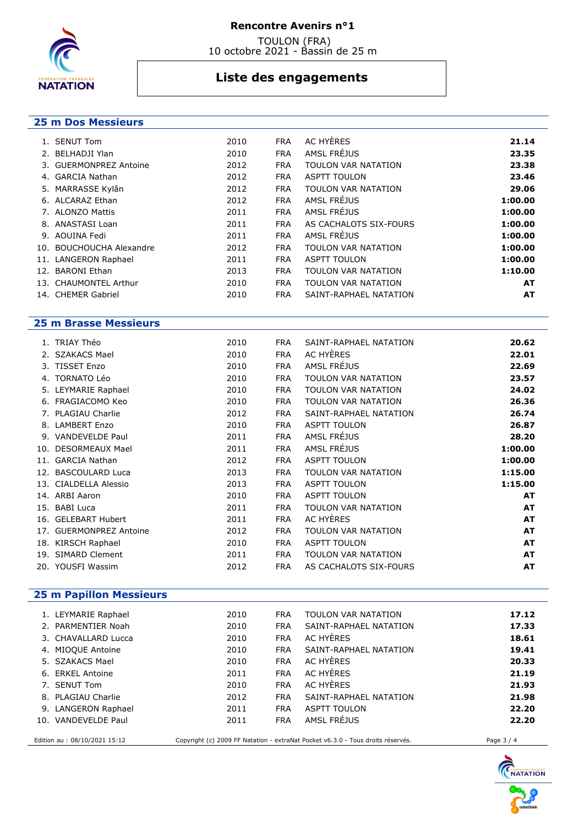

### **Rencontre Avenirs n°1**

 TOULON (FRA) 10 octobre 2021 - Bassin de 25 m

## **Liste des engagements**

### **25 m Dos Messieurs**

| 1. SENUT Tom             | 2010 | <b>FRA</b> | AC HYÈRES              | 21.14   |
|--------------------------|------|------------|------------------------|---------|
| 2. BELHADJI Ylan         | 2010 | <b>FRA</b> | AMSL FRÉJUS            | 23.35   |
| 3. GUERMONPREZ Antoine   | 2012 | <b>FRA</b> | TOULON VAR NATATION    | 23.38   |
| 4. GARCIA Nathan         | 2012 | <b>FRA</b> | <b>ASPTT TOULON</b>    | 23.46   |
| 5. MARRASSE Kylân        | 2012 | <b>FRA</b> | TOULON VAR NATATION    | 29.06   |
| 6. ALCARAZ Ethan         | 2012 | <b>FRA</b> | AMSL FRÉJUS            | 1:00.00 |
| 7. ALONZO Mattis         | 2011 | <b>FRA</b> | AMSL FRÉJUS            | 1:00.00 |
| 8. ANASTASI Loan         | 2011 | <b>FRA</b> | AS CACHALOTS SIX-FOURS | 1:00.00 |
| 9. AOUINA Fedi           | 2011 | <b>FRA</b> | AMSL FRÉJUS            | 1:00.00 |
| 10. BOUCHOUCHA Alexandre | 2012 | <b>FRA</b> | TOULON VAR NATATION    | 1:00.00 |
| 11. LANGERON Raphael     | 2011 | <b>FRA</b> | <b>ASPTT TOULON</b>    | 1:00.00 |
| 12. BARONI Ethan         | 2013 | <b>FRA</b> | TOULON VAR NATATION    | 1:10.00 |
| 13. CHAUMONTEL Arthur    | 2010 | <b>FRA</b> | TOULON VAR NATATION    | AT      |
| 14. CHEMER Gabriel       | 2010 | <b>FRA</b> | SAINT-RAPHAEL NATATION | AT      |

### **25 m Brasse Messieurs**

|    | 1. TRIAY Théo           | 2010 | <b>FRA</b> | SAINT-RAPHAEL NATATION | 20.62     |
|----|-------------------------|------|------------|------------------------|-----------|
|    | 2. SZAKACS Mael         | 2010 | <b>FRA</b> | AC HYÈRES              | 22.01     |
|    | 3. TISSET Enzo          | 2010 | <b>FRA</b> | AMSL FRÉJUS            | 22.69     |
| 4. | <b>TORNATO Léo</b>      | 2010 | <b>FRA</b> | TOULON VAR NATATION    | 23.57     |
|    | 5. LEYMARIE Raphael     | 2010 | <b>FRA</b> | TOULON VAR NATATION    | 24.02     |
|    | 6. FRAGIACOMO Keo       | 2010 | <b>FRA</b> | TOULON VAR NATATION    | 26.36     |
|    | 7. PLAGIAU Charlie      | 2012 | <b>FRA</b> | SAINT-RAPHAEL NATATION | 26.74     |
|    | 8. LAMBERT Enzo         | 2010 | <b>FRA</b> | <b>ASPTT TOULON</b>    | 26.87     |
|    | 9. VANDEVELDE Paul      | 2011 | <b>FRA</b> | AMSL FRÉJUS            | 28.20     |
|    | 10. DESORMEAUX Mael     | 2011 | <b>FRA</b> | AMSL FRÉJUS            | 1:00.00   |
|    | 11. GARCIA Nathan       | 2012 | <b>FRA</b> | <b>ASPTT TOULON</b>    | 1:00.00   |
|    | 12. BASCOULARD Luca     | 2013 | <b>FRA</b> | TOULON VAR NATATION    | 1:15.00   |
|    | 13. CIALDELLA Alessio   | 2013 | <b>FRA</b> | <b>ASPTT TOULON</b>    | 1:15.00   |
|    | 14. ARBI Aaron          | 2010 | <b>FRA</b> | <b>ASPTT TOULON</b>    | AT        |
|    | 15. BABI Luca           | 2011 | <b>FRA</b> | TOULON VAR NATATION    | AT        |
|    | 16. GELEBART Hubert     | 2011 | <b>FRA</b> | AC HYÈRES              | AT        |
|    | 17. GUERMONPREZ Antoine | 2012 | <b>FRA</b> | TOULON VAR NATATION    | <b>AT</b> |
|    | 18. KIRSCH Raphael      | 2010 | <b>FRA</b> | <b>ASPTT TOULON</b>    | <b>AT</b> |
|    | 19. SIMARD Clement      | 2011 | <b>FRA</b> | TOULON VAR NATATION    | AT        |
|    | 20. YOUSFI Wassim       | 2012 | <b>FRA</b> | AS CACHALOTS SIX-FOURS | AT        |

## **25 m Papillon Messieurs**

| 1. LEYMARIE Raphael           | 2010 | <b>FRA</b> | TOULON VAR NATATION                                                             | 17.12      |
|-------------------------------|------|------------|---------------------------------------------------------------------------------|------------|
| 2. PARMENTIER Noah            | 2010 | <b>FRA</b> | SAINT-RAPHAEL NATATION                                                          | 17.33      |
| 3. CHAVALLARD Lucca           | 2010 | <b>FRA</b> | AC HYERES                                                                       | 18.61      |
| 4. MIOQUE Antoine             | 2010 | <b>FRA</b> | SAINT-RAPHAEL NATATION                                                          | 19.41      |
| 5. SZAKACS Mael               | 2010 | <b>FRA</b> | AC HYERES                                                                       | 20.33      |
| 6. ERKEL Antoine              | 2011 | <b>FRA</b> | AC HYERES                                                                       | 21.19      |
| 7. SENUT Tom                  | 2010 | <b>FRA</b> | AC HYÈRES                                                                       | 21.93      |
| 8. PLAGIAU Charlie            | 2012 | <b>FRA</b> | SAINT-RAPHAEL NATATION                                                          | 21.98      |
| 9. LANGERON Raphael           | 2011 | <b>FRA</b> | <b>ASPTT TOULON</b>                                                             | 22.20      |
| 10. VANDEVELDE Paul           | 2011 | <b>FRA</b> | AMSL FRÉJUS                                                                     | 22.20      |
|                               |      |            |                                                                                 |            |
| Edition au : 08/10/2021 15:12 |      |            | Copyright (c) 2009 FF Natation - extraNat Pocket v6.3.0 - Tous droits réservés. | Page 3 / 4 |